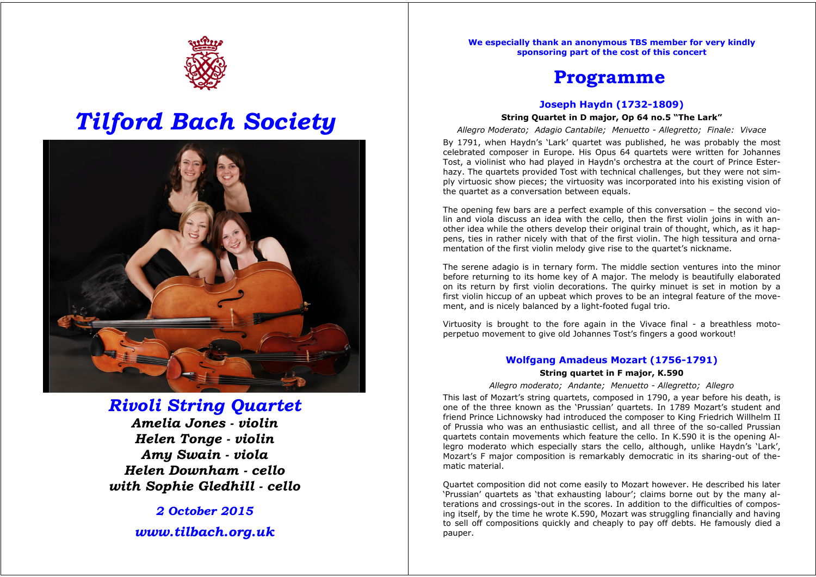

# *Tilford Bach Society*



### *Rivoli String Quartet*

*Amelia Jones - violin Helen Tonge - violin Amy Swain - viola Helen Downham - cello with Sophie Gledhill - cello*

> *2 October 2015 www.tilbach.org.uk*

**We especially thank an anonymous TBS member for very kindly sponsoring part of the cost of this concert**

## **Programme**

#### **Joseph Haydn (1732-1809)**

#### **String Quartet in D major, Op 64 no.5 "The Lark"**

*Allegro Moderato; Adagio Cantabile; Menuetto - Allegretto; Finale: Vivace* 

By 1791, when Haydn's 'Lark' quartet was published, he was probably the most celebrated composer in Europe. His Opus 64 quartets were written for Johannes Tost, a violinist who had played in Haydn's orchestra at the court of Prince Esterhazy. The quartets provided Tost with technical challenges, but they were not simply virtuosic show pieces; the virtuosity was incorporated into his existing vision of the quartet as a conversation between equals.

The opening few bars are a perfect example of this conversation – the second violin and viola discuss an idea with the cello, then the first violin joins in with another idea while the others develop their original train of thought, which, as it happens, ties in rather nicely with that of the first violin. The high tessitura and ornamentation of the first violin melody give rise to the quartet's nickname.

The serene adagio is in ternary form. The middle section ventures into the minor before returning to its home key of A major. The melody is beautifully elaborated on its return by first violin decorations. The quirky minuet is set in motion by a first violin hiccup of an upbeat which proves to be an integral feature of the movement, and is nicely balanced by a light-footed fugal trio.

Virtuosity is brought to the fore again in the Vivace final - a breathless motoperpetuo movement to give old Johannes Tost's fingers a good workout!

#### **Wolfgang Amadeus Mozart (1756-1791)**

#### **String quartet in F major, K.590**

#### *Allegro moderato; Andante; Menuetto - Allegretto; Allegro*

This last of Mozart's string quartets, composed in 1790, a year before his death, is one of the three known as the 'Prussian' quartets. In 1789 Mozart's student and friend Prince Lichnowsky had introduced the composer to King Friedrich Willhelm II of Prussia who was an enthusiastic cellist, and all three of the so-called Prussian quartets contain movements which feature the cello. In K.590 it is the opening Allegro moderato which especially stars the cello, although, unlike Haydn's 'Lark', Mozart's F major composition is remarkably democratic in its sharing-out of thematic material.

Quartet composition did not come easily to Mozart however. He described his later 'Prussian' quartets as 'that exhausting labour'; claims borne out by the many alterations and crossings-out in the scores. In addition to the difficulties of composing itself, by the time he wrote K.590, Mozart was struggling financially and having to sell off compositions quickly and cheaply to pay off debts. He famously died a pauper.